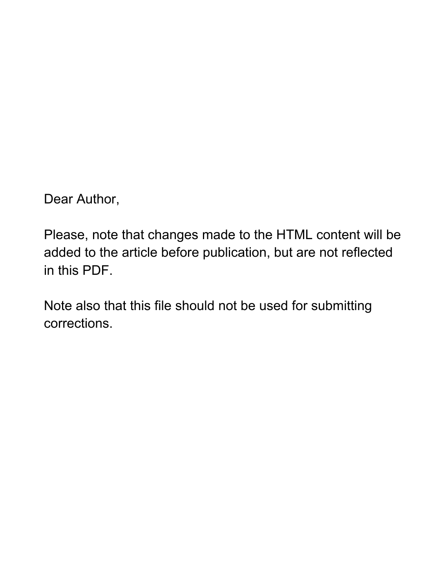Dear Author,

Please, note that changes made to the HTML content will be added to the article before publication, but are not reflected in this PDF.

Note also that this file should not be used for submitting corrections.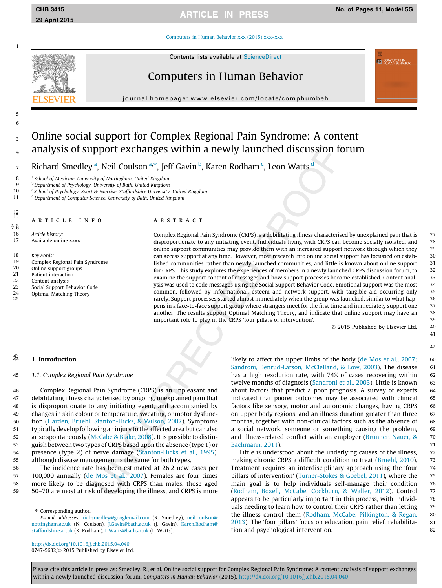1

5 6

12 13

**COMPUTERS IN**<br>HUMAN BEHAVIO

[Computers in Human Behavior xxx \(2015\) xxx–xxx](http://dx.doi.org/10.1016/j.chb.2015.04.040)

Contents lists available at [ScienceDirect](http://www.sciencedirect.com/science/journal/07475632)



# Computers in Human Behavior

journal homepage: [www.elsevier.com/locate/comphumbeh](http://www.elsevier.com/locate/comphumbeh)

# <sup>3</sup> Online social support for Complex Regional Pain Syndrome: A content <sup>4</sup> analysis of support exchanges within a newly launched discussion forum

7 Richard Smedley <sup>a</sup>, Neil Coulson <sup>a,</sup>\*, Jeff Gavin <sup>b</sup>, Karen Rodham <sup>c</sup>, Leon Watts <sup>d</sup>

8 <sup>a</sup> School of Medicine, University of Nottingham, United Kingdom

9 bDepartment of Psychology, University of Bath, United Kingdom<br>10  $\frac{c \text{ School of Peychology, Sport & Exercise \text{Sterforde}binel University}}{2}$ 

<sup>c</sup> School of Psychology, Sport & Exercise, Staffordshire University, United Kingdom<br>11 <sup>d</sup> Denartment of Computer Science, University of Bath, United Kingdom

<sup>d</sup> Department of Computer Science, University of Bath, United Kingdom

### article info

1 5 2 6

16 Article history:<br>17 Available onli 17 Available online xxxx

18 Keywords:<br>19 Complex 1

19 Complex Regional Pain Syndrome<br>20 Opline support groups

20 Online support groups<br>21 Patient interaction

21 Patient interaction<br>22 Content analysis

22 Content analysis<br>23 Social Support Be

Social Support Behavior Code Optimal Matching Theory  $\frac{24}{25}$ 

### **ABSTRACT**

Complex Regional Pain Syndrome (CRPS) is a debilitating illness characterised by unexplained pain that is 27 disproportionate to any initiating event. Individuals living with CRPS can become socially isolated, and 28<br>
online support communities may provide them with an increased support network through which they 29 online support communities may provide them with an increased support network through which they 29 can access support at any time. However, most research into online social support has focussed on estab- 30 lished communities rather than newly launched communities, and little is known about online support for CRPS. This study explores the experiences of members in a newly launched CRPS discussion forum, to 32 examine the support content of messages and how support processes become established. Content anal- 33 ysis was used to code messages using the Social Support Behavior Code. Emotional support was the most 34 common, followed by informational, esteem and network support, with tangible aid occurring only 35 rarely. Support processes started almost immediately when the group was launched, similar to what hap- 36 pens in a face-to-face support group where strangers meet for the first time and immediately support one 37 another. The results support Optimal Matching Theory, and indicate that online support may have an 38 important role to play in the CRPS 'four pillars of intervention'.

© 2015 Published by Elsevier Ltd. 40

#### 43 1. Introduction

## 45 1.1. Complex Regional Pain Syndrome

 Complex Regional Pain Syndrome (CRPS) is an unpleasant and debilitating illness characterised by ongoing, unexplained pain that is disproportionate to any initiating event, and accompanied by changes in skin colour or temperature, sweating, or motor dysfunc- tion [\(Harden, Bruehl, Stanton-Hicks, & Wilson, 2007](#page-11-0)). Symptoms typically develop following an injury to the affected area but can also 52 arise spontaneously [\(McCabe & Blake, 2008](#page-11-0)). It is possible to distin- guish between two types of CRPS based upon the absence (type 1) or presence (type 2) of nerve damage [\(Stanton-Hicks et al., 1995\)](#page-11-0), although disease management is the same for both types.

 The incidence rate has been estimated at 26.2 new cases per 100,000 annually [\(de Mos et al., 2007\)](#page-11-0). Females are four times more likely to be diagnosed with CRPS than males, those aged 50–70 are most at risk of developing the illness, and CRPS is more

[staffordshire.ac.uk](mailto:Karen.Rodham@staffordshire.ac.uk) (K. Rodham), [L.Watts@bath.ac.uk](mailto:L.Watts@bath.ac.uk) (L. Watts).

<http://dx.doi.org/10.1016/j.chb.2015.04.040>  $0747 - 5632/\circledcirc 2015$  Published by Elsevier Ltd. likely to affect the upper limbs of the body [\(de Mos et al., 2007;](#page-11-0) 60 [Sandroni, Benrud-Larson, McClelland, & Low, 2003\)](#page-11-0). The disease 61 has a high resolution rate, with 74% of cases recovering within 62 twelve months of diagnosis [\(Sandroni et al., 2003\)](#page-11-0). Little is known 63 about factors that predict a poor prognosis. A survey of experts 64 indicated that poorer outcomes may be associated with clinical 65 factors like sensory, motor and autonomic changes, having CRPS 66 on upper body regions, and an illness duration greater than three 67 months, together with non-clinical factors such as the absence of 68 a social network, someone or something causing the problem, 69 and illness-related conflict with an employer ([Brunner, Nauer, &](#page-10-0) 70 [Bachmann, 2011\)](#page-10-0). 71

Little is understood about the underlying causes of the illness,  $\frac{72}{2}$ making chronic CRPS a difficult condition to treat ([Bruehl, 2010\)](#page-10-0). 73 Treatment requires an interdisciplinary approach using the 'four 74 pillars of intervention' [\(Turner-Stokes & Goebel, 2011](#page-11-0)), where the 75 main goal is to help individuals self-manage their condition 76 ([Rodham, Boxell, McCabe, Cockburn, & Waller, 2012\)](#page-11-0). Control 77 appears to be particularly important in this process, with individ- 78 uals needing to learn how to control their CRPS rather than letting 79 the illness control them [\(Rodham, McCabe, Pilkington, & Regan,](#page-11-0) 80 [2013](#page-11-0)). The 'four pillars' focus on education, pain relief, rehabilita-<br>81 tion and psychological intervention. 82

<sup>⇑</sup> Corresponding author. E-mail addresses: [richsmedley@googlemail.com](mailto:richsmedley@googlemail.com) (R. Smedley), [neil.coulson@](mailto:neil.coulson@nottingham.ac.uk) [nottingham.ac.uk](mailto:neil.coulson@nottingham.ac.uk) (N. Coulson), [J.Gavin@bath.ac.uk](mailto:J.Gavin@bath.ac.uk) (J. Gavin), [Karen.Rodham@](mailto:Karen.Rodham@staffordshire.ac.uk)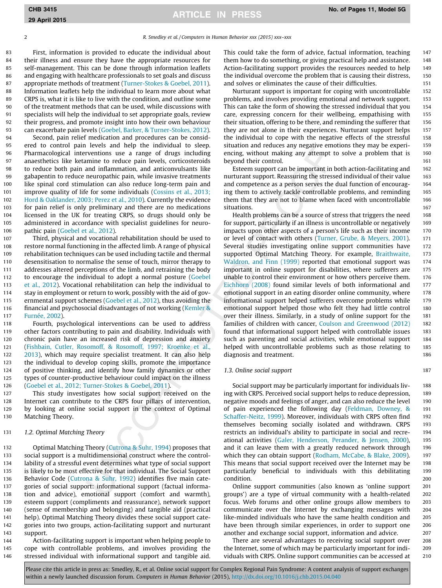First, information is provided to educate the individual about their illness and ensure they have the appropriate resources for self-management. This can be done through information leaflets and engaging with healthcare professionals to set goals and discuss appropriate methods of treatment ([Turner-Stokes & Goebel, 2011\)](#page-11-0). Information leaflets help the individual to learn more about what CRPS is, what it is like to live with the condition, and outline some of the treatment methods that can be used, while discussions with specialists will help the individual to set appropriate goals, review their progress, and promote insight into how their own behaviour can exacerbate pain levels [\(Goebel, Barker, & Turner-Stokes, 2012\)](#page-11-0).

 Second, pain relief medication and procedures can be consid- ered to control pain levels and help the individual to sleep. Pharmacological interventions use a range of drugs including anaesthetics like ketamine to reduce pain levels, corticosteroids to reduce both pain and inflammation, and anticonvulsants like gabapentin to reduce neuropathic pain, while invasive treatments like spinal cord stimulation can also reduce long-term pain and improve quality of life for some individuals ([Cossins et al., 2013;](#page-10-0) [Hord & Oaklander, 2003; Perez et al., 2010](#page-10-0)). Currently the evidence for pain relief is only preliminary and there are no medications licensed in the UK for treating CRPS, so drugs should only be administered in accordance with specialist guidelines for neuro-106 pathic pain [\(Goebel et al., 2012\)](#page-11-0).

 Third, physical and vocational rehabilitation should be used to restore normal functioning in the affected limb. A range of physical rehabilitation techniques can be used including tactile and thermal desensitisation to normalise the sense of touch, mirror therapy to 111 addresses altered perceptions of the limb, and retraining the body to encourage the individual to adopt a normal posture ([Goebel](#page-11-0) [et al., 2012](#page-11-0)). Vocational rehabilitation can help the individual to stay in employment or return to work, possibly with the aid of gov-115 ernmental support schemes [\(Goebel et al., 2012\)](#page-11-0), thus avoiding the 116 financial and psychosocial disadvantages of not working ([Kemler &](#page-11-0) [Furnée, 2002\)](#page-11-0).

 Fourth, psychological interventions can be used to address other factors contributing to pain and disability. Individuals with chronic pain have an increased risk of depression and anxiety ([Fishbain, Cutler, Rosomoff, & Rosomoff, 1997; Kroenke et al.,](#page-11-0) [2013\)](#page-11-0), which may require specialist treatment. It can also help the individual to develop coping skills, promote the importance of positive thinking, and identify how family dynamics or other types of counter-productive behaviour could impact on the illness ([Goebel et al., 2012; Turner-Stokes & Goebel, 2011\)](#page-11-0).

 This study investigates how social support received on the Internet can contribute to the CRPS four pillars of intervention, by looking at online social support in the context of Optimal Matching Theory.

# 131 1.2. Optimal Matching Theory

132 Optimal Matching Theory [\(Cutrona & Suhr, 1994](#page-10-0)) proposes that social support is a multidimensional construct where the control- lability of a stressful event determines what type of social support is likely to be most effective for that individual. The Social Support 136 Behavior Code ([Cutrona & Suhr, 1992\)](#page-10-0) identifies five main cate- gories of social support: informational support (factual informa- tion and advice), emotional support (comfort and warmth), esteem support (compliments and reassurance), network support (sense of membership and belonging) and tangible aid (practical help). Optimal Matching Theory divides these social support cate- gories into two groups, action-facilitating support and nurturant 143 support.

144 Action-facilitating support is important when helping people to 145 cope with controllable problems, and involves providing the 146 stressed individual with informational support and tangible aid.

This could take the form of advice, factual information, teaching 147 them how to do something, or giving practical help and assistance. 148 Action-facilitating support provides the resources needed to help 149 the individual overcome the problem that is causing their distress, 150 and solves or eliminates the cause of their difficulties. 151

Nurturant support is important for coping with uncontrollable 152 problems, and involves providing emotional and network support. 153 This can take the form of showing the stressed individual that you 154 care, expressing concern for their wellbeing, empathising with 155 their situation, offering to be there, and reminding the sufferer that 156 they are not alone in their experiences. Nurturant support helps 157 the individual to cope with the negative effects of the stressful 158 situation and reduces any negative emotions they may be experi- 159 encing, without making any attempt to solve a problem that is 160 beyond their control. 161

Esteem support can be important in both action-facilitating and 162 nurturant support. Reassuring the stressed individual of their value 163 and competence as a person serves the dual function of encourag- 164 ing them to actively tackle controllable problems, and reminding 165 them that they are not to blame when faced with uncontrollable 166 situations. 167

Health problems can be a source of stress that triggers the need 168 for support, particularly if an illness is uncontrollable or negatively 169 impacts upon other aspects of a person's life such as their income 170 or level of contact with others ([Turner, Grube, & Meyers, 2001\)](#page-11-0). 171 Several studies investigating online support communities have 172 supported Optimal Matching Theory. For example, [Braithwaite,](#page-10-0) 173 [Waldron, and Finn \(1999\)](#page-10-0) reported that emotional support was 174 important in online support for disabilities, where sufferers are 175 unable to control their environment or how others perceive them. 176 [Eichhorn \(2008\)](#page-11-0) found similar levels of both informational and 177 emotional support in an eating disorder online community, where 178 informational support helped sufferers overcome problems while 179 emotional support helped those who felt they had little control 180 over their illness. Similarly, in a study of online support for the 181 families of children with cancer, [Coulson and Greenwood \(2012\)](#page-10-0) 182 found that informational support helped with controllable issues 183 such as parenting and social activities, while emotional support 184 helped with uncontrollable problems such as those relating to 185 diagnosis and treatment. The same state of the state of the state of the state of the state of the state of the state of the state of the state of the state of the state of the state of the state of the state of the state

## 1.3. Online social support 187

Social support may be particularly important for individuals liv- 188 ing with CRPS. Perceived social support helps to reduce depression, 189 negative moods and feelings of anger, and can also reduce the level 190 of pain experienced the following day ([Feldman, Downey, &](#page-11-0) 191 [Schaffer-Neitz, 1999](#page-11-0)). Moreover, individuals with CRPS often find 192 themselves becoming socially isolated and withdrawn. CRPS 193 restricts an individual's ability to participate in social and recre- 194 ational activities ([Galer, Henderson, Perander, & Jensen, 2000\)](#page-11-0), 195 and it can leave them with a greatly reduced network through 196 which they can obtain support [\(Rodham, McCabe, & Blake, 2009\)](#page-11-0). 197 This means that social support received over the Internet may be 198 particularly beneficial to individuals with this debilitating 199 condition. 200

Online support communities (also known as 'online support 201 groups') are a type of virtual community with a health-related 202 focus. Web forums and other online groups allow members to 203 communicate over the Internet by exchanging messages with 204 like-minded individuals who have the same health condition and 205 have been through similar experiences, in order to support one 206 another and exchange social support, information and advice. 207

There are several advantages to receiving social support over 208 the Internet, some of which may be particularly important for indi- 209 viduals with CRPS. Online support communities can be accessed at 210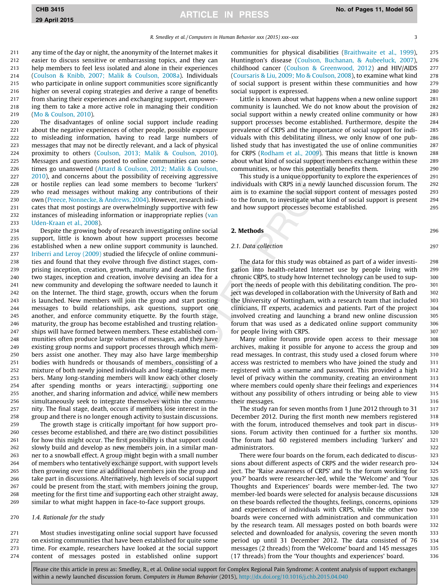any time of the day or night, the anonymity of the Internet makes it easier to discuss sensitive or embarrassing topics, and they can help members to feel less isolated and alone in their experiences ([Coulson & Knibb, 2007; Malik & Coulson, 2008a](#page-10-0)). Individuals who participate in online support communities score significantly higher on several coping strategies and derive a range of benefits from sharing their experiences and exchanging support, empower- ing them to take a more active role in managing their condition ([Mo & Coulson, 2010](#page-11-0)).

 The disadvantages of online social support include reading about the negative experiences of other people, possible exposure to misleading information, having to read large numbers of messages that may not be directly relevant, and a lack of physical proximity to others [\(Coulson, 2013; Malik & Coulson, 2010\)](#page-10-0). Messages and questions posted to online communities can some- times go unanswered ([Attard & Coulson, 2012; Malik & Coulson,](#page-10-0) [2010](#page-10-0)), and concerns about the possibility of receiving aggressive or hostile replies can lead some members to become 'lurkers' who read messages without making any contributions of their own [\(Preece, Nonnecke, & Andrews, 2004](#page-11-0)). However, research indi- cates that most postings are overwhelmingly supportive with few 232 instances of misleading information or inappropriate replies ([van](#page-11-0) [Uden-Kraan et al., 2008](#page-11-0)).

 Despite the growing body of research investigating online social support, little is known about how support processes become established when a new online support community is launched. [Iriberri and Leroy \(2009\)](#page-11-0) studied the lifecycle of online communi- ties and found that they evolve through five distinct stages, com- prising inception, creation, growth, maturity and death. The first two stages, inception and creation, involve devising an idea for a new community and developing the software needed to launch it on the Internet. The third stage, growth, occurs when the forum is launched. New members will join the group and start posting messages to build relationships, ask questions, support one another, and enforce community etiquette. By the fourth stage, maturity, the group has become established and trusting relation- ships will have formed between members. These established com- munities often produce large volumes of messages, and they have existing group norms and support processes through which mem- bers assist one another. They may also have large membership bodies with hundreds or thousands of members, consisting of a mixture of both newly joined individuals and long-standing mem- bers. Many long-standing members will know each other closely after spending months or years interacting, supporting one another, and sharing information and advice, while new members simultaneously seek to integrate themselves within the commu- nity. The final stage, death, occurs if members lose interest in the group and there is no longer enough activity to sustain discussions.

 The growth stage is critically important for how support pro- cesses become established, and there are two distinct possibilities 261 for how this might occur. The first possibility is that support could slowly build and develop as new members join, in a similar man- ner to a snowball effect. A group might begin with a small number of members who tentatively exchange support, with support levels then growing over time as additional members join the group and take part in discussions. Alternatively, high levels of social support could be present from the start, with members joining the group, meeting for the first time and supporting each other straight away, similar to what might happen in face-to-face support groups.

### 270 1.4. Rationale for the study

 Most studies investigating online social support have focussed on existing communities that have been established for quite some time. For example, researchers have looked at the social support content of messages posted in established online support communities for physical disabilities ([Braithwaite et al., 1999\)](#page-10-0), 275 Huntington's disease ([Coulson, Buchanan, & Aubeeluck, 2007\)](#page-10-0), 276 childhood cancer [\(Coulson & Greenwood, 2012\)](#page-10-0) and HIV/AIDS 277 ([Coursaris & Liu, 2009; Mo & Coulson, 2008\)](#page-10-0), to examine what kind 278 of social support is present within these communities and how 279 social support is expressed. 280

Little is known about what happens when a new online support 281 community is launched. We do not know about the provision of 282 social support within a newly created online community or how 283 support processes become established. Furthermore, despite the 284 prevalence of CRPS and the importance of social support for indi- 285 viduals with this debilitating illness, we only know of one pub- 286 lished study that has investigated the use of online communities 287 for CRPS [\(Rodham et al., 2009](#page-11-0)). This means that little is known 288 about what kind of social support members exchange within these 289 communities, or how this potentially benefits them. 290

This study is a unique opportunity to explore the experiences of 291 individuals with CRPS in a newly launched discussion forum. The 292 aim is to examine the social support content of messages posted 293 to the forum, to investigate what kind of social support is present 294 and how support processes become established. 295

#### **2. Methods** 296

Please cite this article in press as: Smedley, R., et al. Online social support for Complex Regional Pain Syndrome: A content analysis of support exchanges

within a newly launched discussion forum. Computers in Human Behavior (2015), <http://dx.doi.org/10.1016/j.chb.2015.04.040>

#### 2.1. Data collection 297

The data for this study was obtained as part of a wider investi- 298 gation into health-related Internet use by people living with 299 chronic CRPS, to study how Internet technology can be used to sup- 300 port the needs of people with this debilitating condition. The pro-<br>301 ject was developed in collaboration with the University of Bath and 302 the University of Nottingham, with a research team that included 303 clinicians, IT experts, academics and patients. Part of the project 304 involved creating and launching a brand new online discussion 305 forum that was used as a dedicated online support community 306 for people living with CRPS. 307

Many online forums provide open access to their message 308 archives, making it possible for anyone to access the group and 309 read messages. In contrast, this study used a closed forum where 310 access was restricted to members who have joined the study and 311 registered with a username and password. This provided a high 312 level of privacy within the community, creating an environment 313 where members could openly share their feelings and experiences 314 without any possibility of others intruding or being able to view 315 their messages. 316

The study ran for seven months from 1 June 2012 through to 31 317 December 2012. During the first month new members registered 318 with the forum, introduced themselves and took part in discus-<br>319 sions. Forum activity then continued for a further six months. 320 The forum had 60 registered members including 'lurkers' and 321 administrators. 322

There were four boards on the forum, each dedicated to discus- 323 sions about different aspects of CRPS and the wider research pro- 324 ject. The 'Raise awareness of CRPS' and 'Is the forum working for 325 you?' boards were researcher-led, while the 'Welcome' and 'Your 326 Thoughts and Experiences' boards were member-led. The two 327 member-led boards were selected for analysis because discussions 328 on these boards reflected the thoughts, feelings, concerns, opinions 329 and experiences of individuals with CRPS, while the other two 330 boards were concerned with administration and communication 331 by the research team. All messages posted on both boards were 332 selected and downloaded for analysis, covering the seven month 333 period up until 31 December 2012. The data consisted of 76 334 messages (2 threads) from the 'Welcome' board and 145 messages 335 (17 threads) from the 'Your thoughts and experiences' board. 336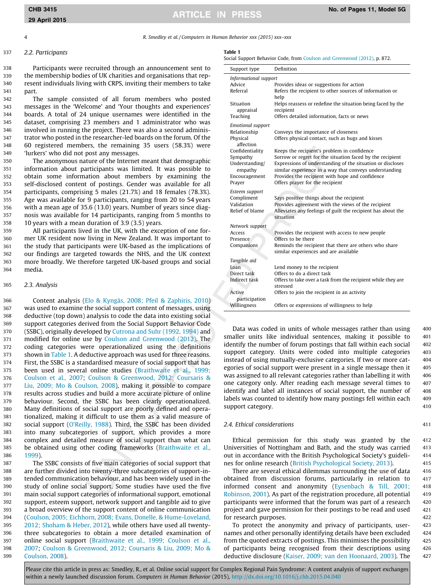# CHB 3415 No. of Pages 11, Model 5G

#### 4 R. Smedley et al. / Computers in Human Behavior xxx (2015) xxx–xxx

#### 337 2.2. Participants

 Participants were recruited through an announcement sent to the membership bodies of UK charities and organisations that rep- resent individuals living with CRPS, inviting their members to take 341 part.

 The sample consisted of all forum members who posted messages in the 'Welcome' and 'Your thoughts and experiences' boards. A total of 24 unique usernames were identified in the dataset, comprising 23 members and 1 administrator who was involved in running the project. There was also a second adminis- trator who posted in the researcher-led boards on the forum. Of the 60 registered members, the remaining 35 users (58.3%) were 'lurkers' who did not post any messages.

 The anonymous nature of the Internet meant that demographic information about participants was limited. It was possible to obtain some information about members by examining the self-disclosed content of postings. Gender was available for all participants, comprising 5 males (21.7%) and 18 females (78.3%). Age was available for 9 participants, ranging from 20 to 54 years with a mean age of 35.6 (13.0) years. Number of years since diag- nosis was available for 14 participants, ranging from 5 months to 10 years with a mean duration of 3.9 (3.5) years.

 All participants lived in the UK, with the exception of one for- mer UK resident now living in New Zealand. It was important to the study that participants were UK-based as the implications of our findings are targeted towards the NHS, and the UK context more broadly. We therefore targeted UK-based groups and social 364 media.

#### 365 2.3. Analysis

 Content analysis ([Elo & Kyngäs, 2008; Pfeil & Zaphiris, 2010\)](#page-11-0) was used to examine the social support content of messages, using deductive (top down) analysis to code the data into existing social support categories derived from the Social Support Behavior Code 370 (SSBC), originally developed by [Cutrona and Suhr \(1992, 1994\)](#page-10-0) and modified for online use by [Coulson and Greenwood \(2012\)](#page-10-0). The coding categories were operationalized using the definitions 373 shown in Table 1. A deductive approach was used for three reasons. First, the SSBC is a standardised measure of social support that has been used in several online studies [\(Braithwaite et al., 1999;](#page-10-0) [Coulson et al., 2007](#page-10-0); [Coulson & Greenwood, 2012; Coursaris &](#page-10-0) [Liu, 2009; Mo & Coulson, 2008](#page-10-0)), making it possible to compare results across studies and build a more accurate picture of online behaviour. Second, the SSBC has been clearly operationalized. Many definitions of social support are poorly defined and opera- tionalized, making it difficult to use them as a valid measure of social support [\(O'Reilly, 1988](#page-11-0)). Third, the SSBC has been divided into many subcategories of support, which provides a more complex and detailed measure of social support than what can 385 be obtained using other coding frameworks ([Braithwaite et al.,](#page-10-0) 386 [1999\)](#page-10-0).

 The SSBC consists of five main categories of social support that are further divided into twenty-three subcategories of support-in- tended communication behaviour, and has been widely used in the study of online social support. Some studies have used the five main social support categories of informational support, emotional support, esteem support, network support and tangible aid to give a broad overview of the support content of online communication ([Coulson, 2005; Eichhorn, 2008; Evans, Donelle, & Hume-Loveland,](#page-10-0) [2012; Shoham & Heber, 2012](#page-10-0)), while others have used all twenty- three subcategories to obtain a more detailed examination of online social support ([Braithwaite et al., 1999; Coulson et al.,](#page-10-0) [2007;](#page-10-0) [Coulson & Greenwood, 2012; Coursaris & Liu, 2009; Mo &](#page-10-0) [Coulson, 2008](#page-10-0)).

#### Table 1

Social Support Behavior Code, from [Coulson and Greenwood \(2012\)](#page-10-0), p. 872.

| Support type                 | Definition                                                   |  |  |  |  |
|------------------------------|--------------------------------------------------------------|--|--|--|--|
| <b>Informational support</b> |                                                              |  |  |  |  |
| Advice                       | Provides ideas or suggestions for action                     |  |  |  |  |
| Referral                     | Refers the recipient to other sources of information or      |  |  |  |  |
|                              | help                                                         |  |  |  |  |
| Situation                    | Helps reassess or redefine the situation being faced by the  |  |  |  |  |
| appraisal                    | recipient                                                    |  |  |  |  |
| Teaching                     | Offers detailed information, facts or news                   |  |  |  |  |
| <b>Emotional support</b>     |                                                              |  |  |  |  |
| Relationship                 | Conveys the importance of closeness                          |  |  |  |  |
| Physical                     | Offers physical contact, such as hugs and kisses             |  |  |  |  |
| affection                    |                                                              |  |  |  |  |
| Confidentiality              | Keeps the recipient's problem in confidence                  |  |  |  |  |
| Sympathy                     | Sorrow or regret for the situation faced by the recipient    |  |  |  |  |
| Understanding/               | Expressions of understanding of the situation or discloses   |  |  |  |  |
| empathy                      | similar experience in a way that conveys understanding       |  |  |  |  |
| Encouragement                | Provides the recipient with hope and confidence              |  |  |  |  |
| Prayer                       | Offers prayer for the recipient                              |  |  |  |  |
| Esteem support               |                                                              |  |  |  |  |
| Compliment                   | Says positive things about the recipient                     |  |  |  |  |
| Validation                   | Provides agreement with the views of the recipient           |  |  |  |  |
| Relief of blame              | Alleviates any feelings of guilt the recipient has about the |  |  |  |  |
|                              | situation                                                    |  |  |  |  |
| Network support              |                                                              |  |  |  |  |
| Access                       | Provides the recipient with access to new people             |  |  |  |  |
| Presence                     | Offers to be there                                           |  |  |  |  |
| Companions                   | Reminds the recipient that there are others who share        |  |  |  |  |
|                              | similar experiences and are available                        |  |  |  |  |
| Tangible aid                 |                                                              |  |  |  |  |
| Loan                         | Lend money to the recipient                                  |  |  |  |  |
| Direct task                  | Offers to do a direct task                                   |  |  |  |  |
| Indirect task                | Offers to take over a task from the recipient while they are |  |  |  |  |
|                              | stressed                                                     |  |  |  |  |
| Active                       | Offers to join the recipient in an activity                  |  |  |  |  |
| participation                |                                                              |  |  |  |  |
| Willingness                  | Offers or expressions of willingness to help                 |  |  |  |  |

Data was coded in units of whole messages rather than using 400 smaller units like individual sentences, making it possible to 401 identify the number of forum postings that fall within each social 402 support category. Units were coded into multiple categories 403 instead of using mutually-exclusive categories. If two or more cat-<br>404 egories of social support were present in a single message then it 405 was assigned to all relevant categories rather than labelling it with 406 one category only. After reading each message several times to 407 identify and label all instances of social support, the number of 408 labels was counted to identify how many postings fell within each 409 support category. 410

### 2.4. Ethical considerations 411

Please cite this article in press as: Smedley, R., et al. Online social support for Complex Regional Pain Syndrome: A content analysis of support exchanges

within a newly launched discussion forum. Computers in Human Behavior (2015), <http://dx.doi.org/10.1016/j.chb.2015.04.040>

Ethical permission for this study was granted by the 412 Universities of Nottingham and Bath, and the study was carried 413 out in accordance with the British Psychological Society's guideli- 414 nes for online research [\(British Psychological Society, 2013\)](#page-10-0). 415

There are several ethical dilemmas surrounding the use of data 416 obtained from discussion forums, particularly in relation to 417 informed consent and anonymity [\(Eysenbach & Till, 2001;](#page-11-0) 418 [Robinson, 2001\)](#page-11-0). As part of the registration procedure, all potential 419 participants were informed that the forum was part of a research 420 project and gave permission for their postings to be read and used 421 for research purposes.  $422$ 

To protect the anonymity and privacy of participants, user- 423 names and other personally identifying details have been excluded 424 from the quoted extracts of postings. This minimises the possibility 425 of participants being recognised from their descriptions using 426 deductive disclosure [\(Kaiser, 2009; van den Hoonaard, 2003](#page-11-0)). The 427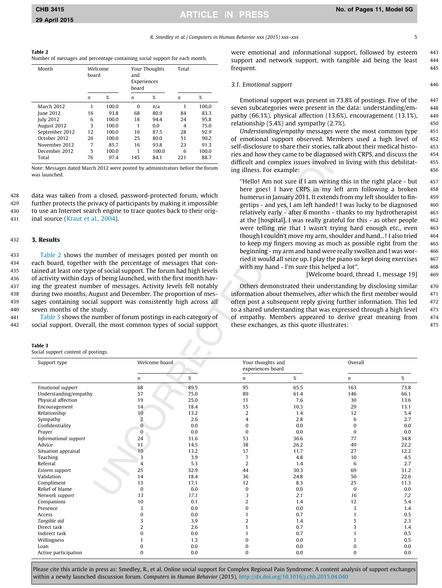Table 2

Number of messages and percentage containing social support for each month.

| Month             | Welcome<br>board |       | Your Thoughts<br>and<br>Experiences<br>board |       | Total |       |
|-------------------|------------------|-------|----------------------------------------------|-------|-------|-------|
|                   | $\boldsymbol{n}$ | %     | $\boldsymbol{n}$                             | %     | n     | %     |
| <b>March 2012</b> | 1                | 100.0 | $\Omega$                                     | n/a   | 1     | 100.0 |
| <b>Iune 2012</b>  | 16               | 93.8  | 68                                           | 80.9  | 84    | 83.3  |
| July 2012         | 6                | 100.0 | 18                                           | 94.4  | 24    | 95.8  |
| August 2012       | 3                | 100.0 |                                              | 0.0   | 4     | 75.0  |
| September 2012    | 12               | 100.0 | 16                                           | 87.5  | 28    | 92.9  |
| October 2012      | 26               | 100.0 | 25                                           | 80.0  | 51    | 90.2  |
| November 2012     | 7                | 85.7  | 16                                           | 93.8  | 23    | 91.3  |
| December 2012     | 5                | 100.0 | 1                                            | 100.0 | 6     | 100.0 |
| Total             | 76               | 97.4  | 145                                          | 84.1  | 221   | 88.7  |

Note: Messages dated March 2012 were posted by administrators before the forum was launched.

 data was taken from a closed, password-protected forum, which further protects the privacy of participants by making it impossible to use an Internet search engine to trace quotes back to their orig-431 inal source ([Kraut et al., 2004](#page-11-0)).

## 432 3. Results

 Table 2 shows the number of messages posted per month on each board, together with the percentage of messages that con- tained at least one type of social support. The forum had high levels of activity within days of being launched, with the first month hav- ing the greatest number of messages. Activity levels fell notably during two months, August and December. The proportion of mes- sages containing social support was consistently high across all seven months of the study.

441 Table 3 shows the number of forum postings in each category of 442 social support. Overall, the most common types of social support

Social support content of postings.

were emotional and informational support, followed by esteem 443 support and network support, with tangible aid being the least 444 frequent. 445

### 3.1. Emotional support 446

Emotional support was present in  $73.8\%$  of postings. Five of the  $447$ seven subcategories were present in the data: understanding/em- 448 pathy (66.1%), physical affection (13.6%), encouragement (13.1%), 449 relationship  $(5.4%)$  and sympathy  $(2.7%)$ .

Understanding/empathy messages were the most common type 451 of emotional support observed. Members used a high level of 452 self-disclosure to share their stories, talk about their medical histo- 453 ries and how they came to be diagnosed with CRPS, and discuss the 454 difficult and complex issues involved in living with this debilitat-<br>455 ing illness. For example: 456

''Hello! Am not sure if I am writing this in the right place - but 457 here goes! I have CRPS in my left arm following a broken 458 humerus in January 2011. It extends from my left shoulder to fin-<br>459 gertips - and yes, I am left handed! I was lucky to be diagnosed 460 relatively early - after 6 months - thanks to my hydrotherapist 461 at the [hospital]. I was really grateful for this - as other people 462 were telling me that I wasn't trying hard enough etc., even 463 though I couldn't move my arm, shoulder and hand...! I also tried 464 to keep my fingers moving as much as possible right from the 465 beginning - my arm and hand were really swollen and I was wor- 466 ried it would all seize up. I play the piano so kept doing exercises 467 with my hand - I'm sure this helped a lot".  $468$ 

[Welcome board, thread 1, message 19] 469

Others demonstrated their understanding by disclosing similar 470 information about themselves, after which the first member would 471 often post a subsequent reply giving further information. This led 472 to a shared understanding that was expressed through a high level 473 of empathy. Members appeared to derive great meaning from 474 these exchanges, as this quote illustrates: 475

| Support type             | Welcome board                          |      | Your thoughts and<br>experiences board |      | Overall          |      |
|--------------------------|----------------------------------------|------|----------------------------------------|------|------------------|------|
|                          | n                                      | $\%$ | n                                      | %    | $\boldsymbol{n}$ | $\%$ |
| <b>Emotional support</b> | 68                                     | 89.5 | 95                                     | 65.5 | 163              | 73.8 |
| Understanding/empathy    | 57                                     | 75.0 | 89                                     | 61.4 | 146              | 66.1 |
| Physical affection       | 19                                     | 25.0 | 11                                     | 7.6  | 30               | 13.6 |
| Encouragement            | 14                                     | 18.4 | 15                                     | 10.3 | 29               | 13.1 |
| Relationship             | $\begin{array}{c} 10 \\ 2 \end{array}$ | 13.2 | 2                                      | 1.4  | 12               | 5.4  |
| Sympathy                 |                                        | 2.6  |                                        | 2.8  | 6                | 2.7  |
| Confidentiality          | $\overline{0}$                         | 0.0  | $\Omega$                               | 0.0  | $\Omega$         | 0.0  |
| Prayer                   | $\bf{0}$                               | 0.0  | $\Omega$                               | 0.0  | $\Omega$         | 0.0  |
| Informational support    | 24                                     | 31.6 | 53                                     | 36.6 | 77               | 34.8 |
| Advice                   | 11                                     | 14.5 | 38                                     | 26.2 | 49               | 22.2 |
| Situation appraisal      | 10                                     | 13.2 | 17                                     | 11.7 | 27               | 12.2 |
| Teaching                 | 3                                      | 3.9  |                                        | 4.8  | 10               | 4.5  |
| Referral                 | 4                                      | 5.3  | 2                                      | 1.4  | 6                | 2.7  |
| Esteem support           | 25                                     | 32.9 | 44                                     | 30.3 | 69               | 31.2 |
| Validation               | 14                                     | 18.4 | 36                                     | 24.8 | 50               | 22.6 |
| Compliment               | 13                                     | 17.1 | 12                                     | 8.3  | 25               | 11.3 |
| Relief of blame          | $\mathbf{0}$                           | 0.0  | $\Omega$                               | 0.0  | $\Omega$         | 0.0  |
| Network support          | 13                                     | 17.1 |                                        | 2.1  | 16               | 7.2  |
| Companions               | 10                                     | 0.1  | 2                                      | 1.4  | 12               | 5.4  |
| Presence                 | 3                                      | 0.0  | $\Omega$                               | 0.0  | 3                | 1.4  |
| Access                   | $\Omega$                               | 0.0  |                                        | 0.7  |                  | 0.5  |
| Tangible aid             | 3                                      | 3.9  |                                        | 1.4  | 5                | 2.3  |
| Direct task              |                                        | 2.6  |                                        | 0.7  | 3                | 1.4  |
| Indirect task            |                                        | 0.0  |                                        | 0.7  |                  | 0.5  |
| Willingness              |                                        | 1.3  |                                        | 0.0  |                  | 0.5  |
| Loan                     |                                        | 0.0  | O                                      | 0.0  | 0                | 0.0  |
| Active participation     | 0                                      | 0.0  | $\Omega$                               | 0.0  | 0                | 0.0  |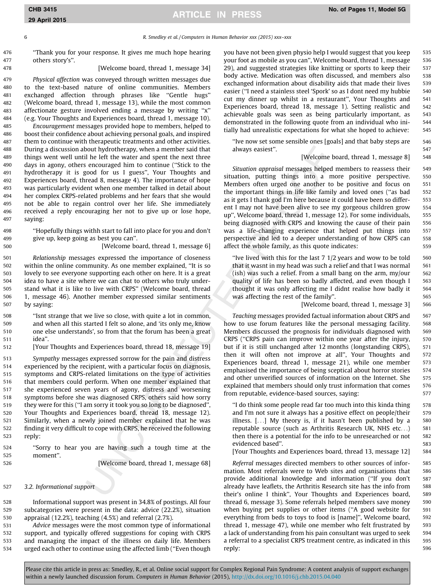476 ''Thank you for your response. It gives me much hope hearing 477 others story's''.

478 [Welcome board, thread 1, message 34]

 Physical affection was conveyed through written messages due to the text-based nature of online communities. Members exchanged affection through phrases like ''Gentle hugs'' (Welcome board, thread 1, message 13), while the most common affectionate gesture involved ending a message by writing ''x'' (e.g. Your Thoughts and Experiences board, thread 1, message 10).

 Encouragement messages provided hope to members, helped to boost their confidence about achieving personal goals, and inspired 487 them to continue with therapeutic treatments and other activities. During a discussion about hydrotherapy, when a member said that things went well until he left the water and spent the next three days in agony, others encouraged him to continue (''Stick to the hydrotherapy it is good for us I guess'', Your Thoughts and Experiences board, thread 8, message 4). The importance of hope was particularly evident when one member talked in detail about her complex CRPS-related problems and her fears that she would not be able to regain control over her life. She immediately received a reply encouraging her not to give up or lose hope, 497 saying:

| 498 | "Hopefully things withh start to fall into place for you and don't |
|-----|--------------------------------------------------------------------|
| 499 | give up, keep going as best you can".                              |

500 [Welcome board, thread 1, message 6]

 Relationship messages expressed the importance of closeness within the online community. As one member explained, ''It is so lovely to see everyone supporting each other on here. It is a great idea to have a site where we can chat to others who truly under- stand what it is like to live with CRPS'' (Welcome board, thread 1, message 46). Another member expressed similar sentiments by saying:

 ''Isnt strange that we live so close, with quite a lot in common, and when all this started I felt so alone, and 'its only me, know one else understands', so from that the forum has been a great 511 idea''.

512 [Your Thoughts and Experiences board, thread 18, message 19]

 Sympathy messages expressed sorrow for the pain and distress experienced by the recipient, with a particular focus on diagnosis, symptoms and CRPS-related limitations on the type of activities that members could perform. When one member explained that she experienced seven years of agony, distress and worsening symptoms before she was diagnosed CRPS, others said how sorry they were for this (''I am sorry it took you so long to be diagnosed'', Your Thoughts and Experiences board, thread 18, message 12). Similarly, when a newly joined member explained that he was finding it very difficult to cope with CRPS, he received the following 523 reply:

524 ''Sorry to hear you are having such a tough time at the 525 moment''.

526 [Welcome board, thread 1, message 68]

# 527 3.2. Informational support

528 Informational support was present in 34.8% of postings. All four 529 subcategories were present in the data: advice (22.2%), situation 530 appraisal (12.2%), teaching (4.5%) and referral (2.7%).

 Advice messages were the most common type of informational support, and typically offered suggestions for coping with CRPS and managing the impact of the illness on daily life. Members urged each other to continue using the affected limb (''Even though

you have not been given physio help I would suggest that you keep 535 your foot as mobile as you can'', Welcome board, thread 1, message 536 29), and suggested strategies like knitting or sports to keep their 537 body active. Medication was often discussed, and members also 538 exchanged information about disability aids that made their lives 539 easier ("I need a stainless steel 'Spork' so as I dont need my hubbie 540 cut my dinner up whilst in a restaurant'', Your Thoughts and 541 Experiences board, thread 18, message 1). Setting realistic and 542 achievable goals was seen as being particularly important, as 543 demonstrated in the following quote from an individual who ini- 544 tially had unrealistic expectations for what she hoped to achieve: 545

"Ive now set some sensible ones [goals] and that baby steps are 546 always easiest". 547

[Welcome board, thread 1, message 8] 548

Situation appraisal messages helped members to reassess their 549 situation, putting things into a more positive perspective. 550 Members often urged one another to be positive and focus on 551 the important things in life like family and loved ones (''as bad 552 as it gets I thank god I'm here because it could have been so differ- 553 ent I may not have been alive to see my gorgeous children grow 554 up'', Welcome board, thread 1, message 12). For some individuals, 555 being diagnosed with CRPS and knowing the cause of their pain 556 was a life-changing experience that helped put things into 557 perspective and led to a deeper understanding of how CRPS can 558 affect the whole family, as this quote indicates: 559

"Ive lived with this for the last  $7 \frac{1}{2}$  years and wow to be told  $560$ that it wasnt in my head was such a relief and that I was normal 561 (ish) was such a relief. From a small bang on the arm,  $my/our = 562$ quality of life has been so badly affected, and even though I 563 thought it was only affecting me I didnt realise how badly it 564 was affecting the rest of the family". 565

[Welcome board, thread 1, message 3] 566

Teaching messages provided factual information about CRPS and 567 how to use forum features like the personal messaging facility. 568 Members discussed the prognosis for individuals diagnosed with 569 CRPS (''CRPS pain can improve within one year after the injury, 570 but if it is still unchanged after 12 months (longstanding CRPS), 571 then it will often not improve at all'', Your Thoughts and 572 Experiences board, thread 1, message 21), while one member 573 emphasised the importance of being sceptical about horror stories 574 and other unverified sources of information on the Internet. She 575 explained that members should only trust information that comes 576 from reputable, evidence-based sources, saying:  $577$ 

''I do think some people read far too much into this kinda thing 578 and I'm not sure it always has a positive effect on people/their 579 illness. [...] My theory is, if it hasn't been published by a 580 reputable source (such as Arthritis Research UK, NHS etc...) 581 then there is a potential for the info to be unresearched or not 582 evidenced based". 583

[Your Thoughts and Experiences board, thread 13, message 12] 584

Referral messages directed members to other sources of infor- 585 mation. Most referrals were to Web sites and organisations that 586 provide additional knowledge and information (''If you don't 587 already have leaflets, the Arthritis Research site has the info from 588 their's online I think'', Your Thoughts and Experiences board, 589 thread 6, message 3). Some referrals helped members save money 590 when buying pet supplies or other items ("A good website for 591 everything from beds to toys to food is [name]", Welcome board, 592 thread 1, message 47), while one member who felt frustrated by 593 a lack of understanding from his pain consultant was urged to seek 594 a referral to a specialist CRPS treatment centre, as indicated in this 595 reply: 596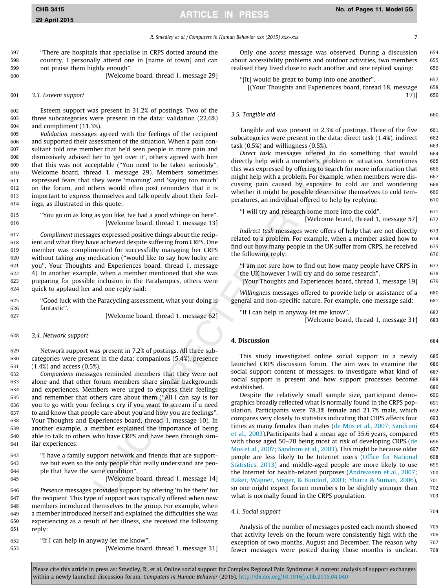599 not praise them highly enough''. 600 [Welcome board, thread 1, message 29]

# 601 3.3. Esteem support

602 Esteem support was present in 31.2% of postings. Two of the 603 three subcategories were present in the data: validation (22.6%) 604 and compliment (11.3%).

 Validation messages agreed with the feelings of the recipient and supported their assessment of the situation. When a pain con- sultant told one member that he'd seen people in more pain and dismissively advised her to 'get over it', others agreed with him that this was not acceptable (''You need to be taken seriously'', Welcome board, thread 1, message 29). Members sometimes expressed fears that they were 'moaning' and 'saying too much' on the forum, and others would often post reminders that it is important to express themselves and talk openly about their feel-ings, as illustrated in this quote:

| 615 | "You go on as long as you like, Ive had a good whinge on here". |
|-----|-----------------------------------------------------------------|
| 616 | [Welcome board, thread 1, message 13]                           |

 Compliment messages expressed positive things about the recip- ient and what they have achieved despite suffering from CRPS. One member was complimented for successfully managing her CRPS without taking any medication (''would like to say how lucky are you'', Your Thoughts and Experiences board, thread 1, message 4). In another example, when a member mentioned that she was preparing for possible inclusion in the Paralympics, others were quick to applaud her and one reply said:

| 625 | "Good luck with the Paracycling assessment, what your doing is" |  |
|-----|-----------------------------------------------------------------|--|
| 626 | fantastic".                                                     |  |

627 [Welcome board, thread 1, message 62]

# 628 3.4. Network support

629 Network support was present in 7.2% of postings. All three sub-630 categories were present in the data: companions (5.4%), presence 631 (1.4%) and access (0.5%).

 Companions messages reminded members that they were not alone and that other forum members share similar backgrounds and experiences. Members were urged to express their feelings and remember that others care about them (''All I can say is for you to go with your feeling s cry if you want to scream if u need to and know that people care about you and how you are feelings'', Your Thoughts and Experiences board, thread 1, message 10). In another example, a member explained the importance of being able to talk to others who have CRPS and have been through sim-ilar experiences:

642 ''I have a family support network and friends that are support-643 ive but even so the only people that really understand are peo-644 ple that have the same condition''.

645 [Welcome board, thread 1, message 14]

 Presence messages provided support by offering 'to be there' for the recipient. This type of support was typically offered when new members introduced themselves to the group. For example, when a member introduced herself and explained the difficulties she was experiencing as a result of her illness, she received the following 651 reply:

652 ''If I can help in anyway let me know''.

653 [Welcome board, thread 1, message 31]

Only one access message was observed. During a discussion 654 about accessibility problems and outdoor activities, two members 655 realised they lived close to each another and one replied saying: 656

''[It] would be great to bump into one another''. 657

[(Your Thoughts and Experiences board, thread 18, message 658 17)] 659

3.5. Tangible aid 660

Tangible aid was present in 2.3% of postings. Three of the five  $661$ subcategories were present in the data: direct task (1.4%), indirect 662 task  $(0.5\%)$  and willingness  $(0.5\%)$ . 663

Direct task messages offered to do something that would 664 directly help with a member's problem or situation. Sometimes 665 this was expressed by offering to search for more information that 666 might help with a problem. For example, when members were dis-<br>667 cussing pain caused by exposure to cold air and wondering 668 whether it might be possible desensitise themselves to cold tem-<br>669 peratures, an individual offered to help by replying: 670

''I will try and research some more into the cold''. 671

[Welcome board, thread 1, message 57] 672

Indirect task messages were offers of help that are not directly 673 related to a problem. For example, when a member asked how to 674 find out how many people in the UK suffer from CRPS, he received 675 the following reply: 676

''I am not sure how to find out how many people have CRPS in 677 the UK however I will try and do some research". 678 [Your Thoughts and Experiences board, thread 1, message 19] 679

Willingness messages offered to provide help or assistance of a 680 general and non-specific nature. For example, one message said: 681

''If I can help in anyway let me know''. 682 [Welcome board, thread 1, message 31] 683

# **4. Discussion 684**

This study investigated online social support in a newly 685 launched CRPS discussion forum. The aim was to examine the 686 social support content of messages, to investigate what kind of 687 social support is present and how support processes become 688 established. 689

Despite the relatively small sample size, participant demo- 690 graphics broadly reflected what is normally found in the CRPS pop- 691 ulation. Participants were 78.3% female and 21.7% male, which 692 compares very closely to statistics indicating that CRPS affects four 693 times as many females than males [\(de Mos et al., 2007; Sandroni](#page-11-0) 694 [et al., 2003](#page-11-0)). Participants had a mean age of 35.6 years, compared 695 with those aged 50-70 being most at risk of developing CRPS [\(de](#page-11-0) 696 [Mos et al., 2007; Sandroni et al., 2003](#page-11-0)). This might be because older 697 people are less likely to be Internet users [\(Office for National](#page-11-0) 698 [Statistics, 2013\)](#page-11-0) and middle-aged people are more likely to use 699 the Internet for health-related purposes [\(Andreassen et al., 2007;](#page-10-0) 700 [Baker, Wagner, Singer, & Bundorf, 2003; Ybarra & Suman, 2006\)](#page-10-0), 701 so one might expect forum members to be slightly younger than 702 what is normally found in the CRPS population. 703

### 4.1. Social support 704

Analysis of the number of messages posted each month showed 705 that activity levels on the forum were consistently high with the 706 exception of two months, August and December. The reason why 707 fewer messages were posted during those months is unclear. 708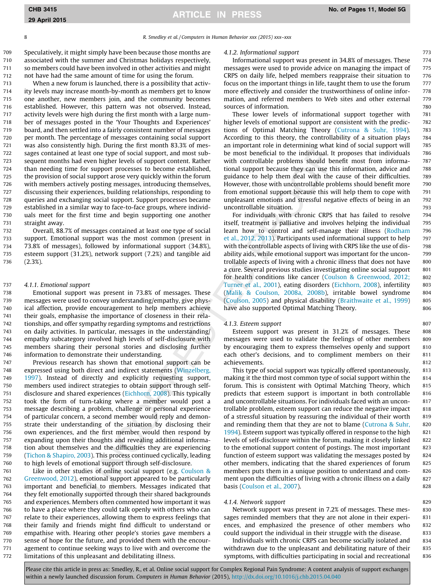Speculatively, it might simply have been because those months are associated with the summer and Christmas holidays respectively, so members could have been involved in other activities and might not have had the same amount of time for using the forum.

 When a new forum is launched, there is a possibility that activ- ity levels may increase month-by-month as members get to know one another, new members join, and the community becomes established. However, this pattern was not observed. Instead, activity levels were high during the first month with a large num- ber of messages posted in the 'Your Thoughts and Experiences' board, and then settled into a fairly consistent number of messages per month. The percentage of messages containing social support was also consistently high. During the first month 83.3% of mes- sages contained at least one type of social support, and most sub- sequent months had even higher levels of support content. Rather than needing time for support processes to become established, the provision of social support arose very quickly within the forum with members actively posting messages, introducing themselves, discussing their experiences, building relationships, responding to queries and exchanging social support. Support processes became established in a similar way to face-to-face groups, where individ- uals meet for the first time and begin supporting one another straight away.

 Overall, 88.7% of messages contained at least one type of social support. Emotional support was the most common (present in 73.8% of messages), followed by informational support (34.8%), esteem support (31.2%), network support (7.2%) and tangible aid 736 (2.3%).

#### 737 4.1.1. Emotional support

 Emotional support was present in 73.8% of messages. These messages were used to convey understanding/empathy, give phys- ical affection, provide encouragement to help members achieve their goals, emphasise the importance of closeness in their rela- tionships, and offer sympathy regarding symptoms and restrictions on daily activities. In particular, messages in the understanding/ empathy subcategory involved high levels of self-disclosure with members sharing their personal stories and disclosing further information to demonstrate their understanding.

 Previous research has shown that emotional support can be expressed using both direct and indirect statements [\(Winzelberg,](#page-11-0) [1997\)](#page-11-0). Instead of directly and explicitly requesting support, members used indirect strategies to obtain support through self- disclosure and shared experiences [\(Eichhorn, 2008](#page-11-0)). This typically took the form of turn-taking where a member would post a message describing a problem, challenge or personal experience of particular concern, a second member would reply and demon- strate their understanding of the situation by disclosing their own experiences, and the first member would then respond by expanding upon their thoughts and revealing additional informa- tion about themselves and the difficulties they are experiencing ([Tichon & Shapiro, 2003](#page-11-0)). This process continued cyclically, leading to high levels of emotional support through self-disclosure.

 Like in other studies of online social support (e.g. [Coulson &](#page-10-0) [Greenwood, 2012\)](#page-10-0), emotional support appeared to be particularly important and beneficial to members. Messages indicated that they felt emotionally supported through their shared backgrounds and experiences. Members often commented how important it was to have a place where they could talk openly with others who can relate to their experiences, allowing them to express feelings that their family and friends might find difficult to understand or empathise with. Hearing other people's stories gave members a sense of hope for the future, and provided them with the encour- agement to continue seeking ways to live with and overcome the limitations of this unpleasant and debilitating illness.

#### 4.1.2. Informational support 773

Informational support was present in 34.8% of messages. These 774 messages were used to provide advice on managing the impact of 775 CRPS on daily life, helped members reappraise their situation to 776 focus on the important things in life, taught them to use the forum 777 more effectively and consider the trustworthiness of online infor-<br>
778 mation, and referred members to Web sites and other external 779 sources of information  $\frac{780}{200}$ 

These lower levels of informational support together with 781 higher levels of emotional support are consistent with the predic-<br>
782 tions of Optimal Matching Theory ([Cutrona & Suhr, 1994\)](#page-10-0). 783 According to this theory, the controllability of a situation plays 784 an important role in determining what kind of social support will 785 be most beneficial to the individual. It proposes that individuals 786 with controllable problems should benefit most from informa-<br>
787 tional support because they can use this information, advice and 788 guidance to help them deal with the cause of their difficulties. 789 However, those with uncontrollable problems should benefit more 790 from emotional support because this will help them to cope with 791 unpleasant emotions and stressful negative effects of being in an 792 uncontrollable situation. 793

For individuals with chronic CRPS that has failed to resolve 794 itself, treatment is palliative and involves helping the individual 795 learn how to control and self-manage their illness ([Rodham](#page-11-0) 796 [et al., 2012, 2013](#page-11-0)). Participants used informational support to help 797 with the controllable aspects of living with CRPS like the use of dis-<br>798 ability aids, while emotional support was important for the uncon- 799 trollable aspects of living with a chronic illness that does not have 800 a cure. Several previous studies investigating online social support 801 for health conditions like cancer [\(Coulson & Greenwood, 2012;](#page-10-0) 802 [Turner et al., 2001](#page-10-0)), eating disorders ([Eichhorn, 2008\)](#page-11-0), infertility 803 ([Malik & Coulson, 2008a, 2008b\)](#page-11-0), irritable bowel syndrome 804 ([Coulson, 2005](#page-10-0)) and physical disability ([Braithwaite et al., 1999\)](#page-10-0) 805 have also supported Optimal Matching Theory. 806

### 4.1.3. Esteem support 807

Esteem support was present in 31.2% of messages. These 808 messages were used to validate the feelings of other members 809 by encouraging them to express themselves openly and support 810 each other's decisions, and to compliment members on their 811 achievements. 812

This type of social support was typically offered spontaneously, 813 making it the third most common type of social support within the 814 forum. This is consistent with Optimal Matching Theory, which 815 predicts that esteem support is important in both controllable 816 and uncontrollable situations. For individuals faced with an uncon- 817 trollable problem, esteem support can reduce the negative impact 818 of a stressful situation by reassuring the individual of their worth 819 and reminding them that they are not to blame ([Cutrona & Suhr,](#page-10-0) 820 [1994\)](#page-10-0). Esteem support was typically offered in response to the high 821 levels of self-disclosure within the forum, making it closely linked 822 to the emotional support content of postings. The most important 823 function of esteem support was validating the messages posted by 824 other members, indicating that the shared experiences of forum 825 members puts them in a unique position to understand and com-<br>826 ment upon the difficulties of living with a chronic illness on a daily 827 basis [\(Coulson et al., 2007](#page-10-0)). 828

### 4.1.4. Network support 829

Network support was present in 7.2% of messages. These mes- 830 sages reminded members that they are not alone in their experi-<br>831 ences, and emphasized the presence of other members who 832 could support the individual in their struggle with the disease. 833

Individuals with chronic CRPS can become socially isolated and 834 withdrawn due to the unpleasant and debilitating nature of their 835 symptoms, with difficulties participating in social and recreational 836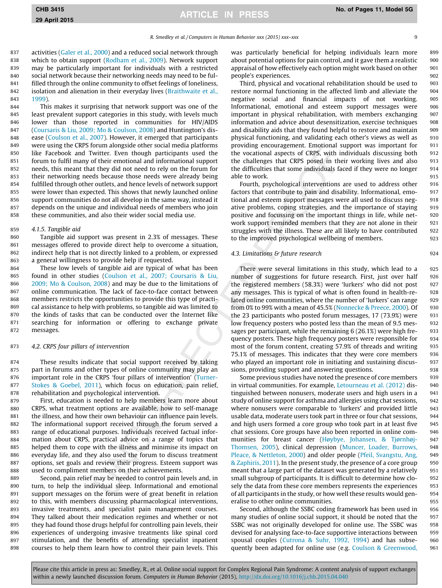activities ([Galer et al., 2000](#page-11-0)) and a reduced social network through which to obtain support ([Rodham et al., 2009](#page-11-0)). Network support may be particularly important for individuals with a restricted social network because their networking needs may need to be ful- filled through the online community to offset feelings of loneliness, 842 isolation and alienation in their everyday lives [\(Braithwaite et al.,](#page-10-0) 843 [1999\)](#page-10-0).

 This makes it surprising that network support was one of the least prevalent support categories in this study, with levels much lower than those reported in communities for HIV/AIDS ([Coursaris & Liu, 2009; Mo & Coulson, 2008](#page-10-0)) and Huntington's dis-848 ease ([Coulson et al., 2007](#page-10-0)). However, it emerged that participants were using the CRPS forum alongside other social media platforms like Facebook and Twitter. Even though participants used the forum to fulfil many of their emotional and informational support needs, this meant that they did not need to rely on the forum for their networking needs because those needs were already being fulfilled through other outlets, and hence levels of network support were lower than expected. This shows that newly launched online support communities do not all develop in the same way, instead it depends on the unique and individual needs of members who join these communities, and also their wider social media use.

#### 859 4.1.5. Tangible aid

 Tangible aid support was present in 2.3% of messages. These messages offered to provide direct help to overcome a situation, indirect help that is not directly linked to a problem, or expressed a general willingness to provide help if requested.

 These low levels of tangible aid are typical of what has been found in other studies [\(Coulson et al., 2007; Coursaris & Liu,](#page-10-0) [2009; Mo & Coulson, 2008](#page-10-0)) and may be due to the limitations of online communication. The lack of face-to-face contact between members restricts the opportunities to provide this type of practi- cal assistance to help with problems, so tangible aid was limited to the kinds of tasks that can be conducted over the Internet like searching for information or offering to exchange private messages.

#### 873 4.2. CRPS four pillars of intervention

 These results indicate that social support received by taking part in forums and other types of online community may play an 876 important role in the CRPS 'four pillars of intervention' ([Turner-](#page-11-0) [Stokes & Goebel, 2011\)](#page-11-0), which focus on education, pain relief, rehabilitation and psychological intervention.

 First, education is needed to help members learn more about CRPS, what treatment options are available, how to self-manage 881 the illness, and how their own behaviour can influence pain levels. The informational support received through the forum served a range of educational purposes. Individuals received factual infor- mation about CRPS, practical advice on a range of topics that helped them to cope with the illness and minimise its impact on everyday life, and they also used the forum to discuss treatment options, set goals and review their progress. Esteem support was used to compliment members on their achievements.

 Second, pain relief may be needed to control pain levels and, in turn, to help the individual sleep. Informational and emotional support messages on the forum were of great benefit in relation to this, with members discussing pharmacological interventions, invasive treatments, and specialist pain management courses. They talked about their medication regimes and whether or not 895 they had found those drugs helpful for controlling pain levels, their experiences of undergoing invasive treatments like spinal cord stimulation, and the benefits of attending specialist inpatient courses to help them learn how to control their pain levels. This was particularly beneficial for helping individuals learn more 899 about potential options for pain control, and it gave them a realistic 900 appraisal of how effectively each option might work based on other 901 people's experiences. 902

Third, physical and vocational rehabilitation should be used to 903 restore normal functioning in the affected limb and alleviate the 904 negative social and financial impacts of not working. 905 Informational, emotional and esteem support messages were 906 important in physical rehabilitation, with members exchanging 907 information and advice about desensitization, exercise techniques 908 and disability aids that they found helpful to restore and maintain 909 physical functioning, and validating each other's views as well as 910 providing encouragement. Emotional support was important for 911 the vocational aspects of CRPS, with individuals discussing both 912 the challenges that CRPS posed in their working lives and also 913 the difficulties that some individuals faced if they were no longer 914 able to work. 915

Fourth, psychological interventions are used to address other 916 factors that contribute to pain and disability. Informational, emo- 917 tional and esteem support messages were all used to discuss neg- 918 ative problems, coping strategies, and the importance of staying 919 positive and focussing on the important things in life, while net- 920 work support reminded members that they are not alone in their 921 struggles with the illness. These are all likely to have contributed 922 to the improved psychological wellbeing of members. 923

#### 4.3. Limitations & future research 924

There were several limitations in this study, which lead to a 925 number of suggestions for future research. First, just over half 926 the registered members (58.3%) were 'lurkers' who did not post 927 any messages. This is typical of what is often found in health-re- 928 lated online communities, where the number of 'lurkers' can range 929 from 0% to 99% with a mean of 45.5% [\(Nonnecke & Preece, 2000](#page-11-0)). Of 930 the 23 participants who posted forum messages,  $17$  (73.9%) were 931 low frequency posters who posted less than the mean of 9.5 mes- 932 sages per participant, while the remaining 6 (26.1%) were high fre- 933 quency posters. These high frequency posters were responsible for 934 most of the forum content, creating 57.9% of threads and writing 935 75.1% of messages. This indicates that they were core members 936 who played an important role in initiating and sustaining discus-<br>937 sions, providing support and answering questions. 938

Some previous studies have noted the presence of core members 939 in virtual communities. For example, [Letourneau et al. \(2012\)](#page-11-0) dis- 940 tinguished between nonusers, moderate users and high users in a 941 study of online support for asthma and allergies using chat sessions, 942 where nonusers were comparable to 'lurkers' and provided little 943 usable data, moderate users took part in three or four chat sessions, 944 and high users formed a core group who took part in at least five 945 chat sessions. Core groups have also been reported in online com- 946 munities for breast cancer [\(Høybye, Johansen, & Tjørnhøj-](#page-11-0) 947 [Thomsen, 2005\)](#page-11-0), clinical depression [\(Muncer, Loader, Burrows,](#page-11-0) 948 [Pleace, & Nettleton, 2000](#page-11-0)) and older people ([Pfeil, Svangstu, Ang,](#page-11-0) 949 [& Zaphiris, 2011](#page-11-0)). In the present study, the presence of a core group 950 meant that a large part of the dataset was generated by a relatively 951 small subgroup of participants. It is difficult to determine how clo-<br>952 sely the data from these core members represents the experiences 953 of all participants in the study, or how well these results would gen- 954 eralise to other online communities. The same state of the set of the set of the set of the set of the set of the set of the set of the set of the set of the set of the set of the set of the set of the set of the set of th

Second, although the SSBC coding framework has been used in 956 many studies of online social support, it should be noted that the 957 SSBC was not originally developed for online use. The SSBC was 958 devised for analysing face-to-face supportive interactions between 959 spousal couples ([Cutrona & Suhr, 1992, 1994](#page-10-0)) and has subse- 960 quently been adapted for online use (e.g. [Coulson & Greenwood,](#page-10-0) 961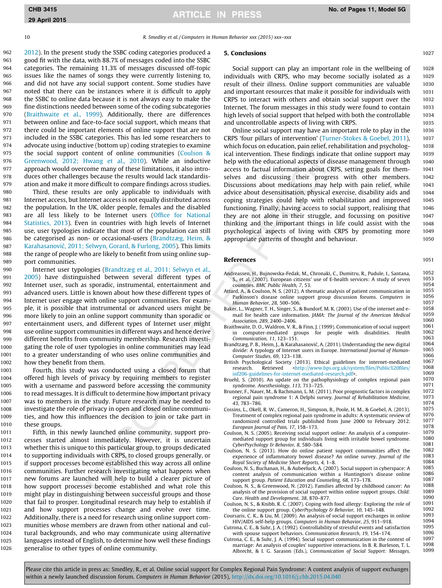<span id="page-10-0"></span>

962 2012). In the present study the SSBC coding categories produced a good fit with the data, with 88.7% of messages coded into the SSBC categories. The remaining 11.3% of messages discussed off-topic issues like the names of songs they were currently listening to, and did not have any social support content. Some studies have noted that there can be instances where it is difficult to apply the SSBC to online data because it is not always easy to make the fine distinctions needed between some of the coding subcategories (Braithwaite et al., 1999). Additionally, there are differences between online and face-to-face social support, which means that there could be important elements of online support that are not included in the SSBC categories. This has led some researchers to advocate using inductive (bottom up) coding strategies to examine 975 the social support content of online communities (Coulson & Greenwood, 2012; Hwang et al., 2010). While an inductive 977 approach would overcome many of these limitations, it also intro- duces other challenges because the results would lack standardis-ation and make it more difficult to compare findings across studies.

 Third, these results are only applicable to individuals with Internet access, but Internet access is not equally distributed across the population. In the UK, older people, females and the disabled are all less likely to be Internet users ([Office for National](#page-11-0) [Statistics, 2013\)](#page-11-0). Even in countries with high levels of Internet use, user typologies indicate that most of the population can still be categorised as non- or occasional-users (Brandtzæg, Heim, & 987 Karahasanović, 2011; Selwyn, Gorard, & Furlong, 2005). This limits the range of people who are likely to benefit from using online sup-port communities.

 Internet user typologies (Brandtzæg et al., 2011; Selwyn et al., 2005) have distinguished between several different types of Internet user, such as sporadic, instrumental, entertainment and advanced users. Little is known about how these different types of Internet user engage with online support communities. For exam- ple, it is possible that instrumental or advanced users might be more likely to join an online support community than sporadic or entertainment users, and different types of Internet user might use online support communities in different ways and hence derive different benefits from community membership. Research investi- gating the role of user typologies in online communities may lead to a greater understanding of who uses online communities and how they benefit from them.

 Fourth, this study was conducted using a closed forum that offered high levels of privacy by requiring members to register with a username and password before accessing the community 1006 to read messages. It is difficult to determine how important privacy was to members in the study. Future research may be needed to investigate the role of privacy in open and closed online communi- ties, and how this influences the decision to join or take part in these groups.

 Fifth, in this newly launched online community, support pro- cesses started almost immediately. However, it is uncertain whether this is unique to this particular group, to groups dedicated to supporting individuals with CRPS, to closed groups generally, or if support processes become established this way across all online communities. Further research investigating what happens when new forums are launched will help to build a clearer picture of how support processes become established and what role this might play in distinguishing between successful groups and those that fail to prosper. Longitudinal research may help to establish if and how support processes change and evolve over time. Additionally, there is a need for research using online support com- munities whose members are drawn from other national and cul- tural backgrounds, and who may communicate using alternative languages instead of English, to determine how well these findings generalise to other types of online community.

# 5. Conclusions 1027

Social support can play an important role in the wellbeing of 1028 individuals with CRPS, who may become socially isolated as a 1029 result of their illness. Online support communities are valuable 1030 and important resources that make it possible for individuals with 1031 CRPS to interact with others and obtain social support over the 1032 Internet. The forum messages in this study were found to contain 1033 high levels of social support that helped with both the controllable 1034 and uncontrollable aspects of living with CRPS.  $\qquad \qquad 1035$ 

Online social support may have an important role to play in the 1036 CRPS 'four pillars of intervention' [\(Turner-Stokes & Goebel, 2011\)](#page-11-0), 1037 which focus on education, pain relief, rehabilitation and psycholog-<br>1038 ical intervention. These findings indicate that online support may 1039 help with the educational aspects of disease management through 1040 access to factual information about CRPS, setting goals for them- 1041 selves and discussing their progress with other members. 1042 Discussions about medications may help with pain relief, while 1043 advice about desensitisation, physical exercise, disability aids and 1044 coping strategies could help with rehabilitation and improved 1045 functioning. Finally, having access to social support, realising that 1046 they are not alone in their struggle, and focussing on positive 1047 thinking and the important things in life could assist with the 1048 psychological aspects of living with CRPS by promoting more 1049 appropriate patterns of thought and behaviour. The manufacture of  $1050$ 

#### **References** 1051

- Andreassen, H., Bujnowska-Fedak, M., Chronaki, C., Dumitru, R., Pudule, I., Santana, 1052 S., et al. (2007). European citizens' use of E-health services: A study of seven 1053<br>countries *BMC Public Health* 7.53 countries. BMC Public Health, 7, 53.<br>and A. & Coulson N. S. (2012). A thematic analysis of patient communication in 1055
- Attard, A., & Coulson, N. S. (2012). A thematic analysis of patient communication in 1055 Parkinson's disease online support group discussion forums. Computers in 1056<br>Human Rehavior 28 500–506 Human Behavior, 28, 500–506.<br>
For L. Wagner T. H. Singer S. & Bundorf M. K. (2003) Use of the internet and e- 1058
- Baker, L., Wagner, T. H., Singer, S., & Bundorf, M. K. (2003). Use of the internet and e- 1058 mail for health care information. JAMA: The Journal of the American Medical 1059<br>1060 1060 Association, 289, 2400–2406.<br>
ithwaite D.O. Waldron V.R. & Finn J. (1999). Communication of social support 1061
- Braithwaite, D. O., Waldron, V. R., & Finn, J. (1999). Communication of social support 1061 in computer-mediated groups for people with disabilities. Health 1062<br>Communication 11 123-151 Communication, 11, 123–151. 1063
- Brandtzæg, P. B., Heim, J., & Karahasanović, A. (2011). Understanding the new digital 1064<br>divide: A typology of Internet users in Europe International Journal of Human divide: A typology of Internet users in Europe. International Journal of Human-<br>Computer Studies 69, 123-138 Computer Studies, 69, 123–138.<br>
ish Bsychological Society (2013) Ethical quidelines for internet-mediated 1067
- British Psychological Society (2013). Ethical guidelines for internet-mediated 1067<br>research Betriaved chttp://www.bps.org.uk/system/files/Dublic%20files/ 1068 research. Retrieved <[http://www.bps.org.uk/system/files/Public%20files/](http://www.bps.org.uk/system/files/Public%20files/inf206-guidelines-for-internet-mediated-research.pdf) 1068<br>inf206-guidelines-for-internet-mediated-research pdf> 1069 [inf206-guidelines-for-internet-mediated-research.pdf>](http://www.bps.org.uk/system/files/Public%20files/inf206-guidelines-for-internet-mediated-research.pdf). 1069
- Bruehl, S. (2010). An update on the pathophysiology of complex regional pain  $1070$ <br>syndrome Anesthesiology 113 713-725 syndrome. Anesthesiology, 113, 713–725.<br>npg E. Nauer M. & Rachmann J. M. (2011). Poet pregnectic factors in complex 1072
- Brunner, F., Nauer, M., & Bachmann, L. M. (2011). Poor prognostic factors in complex 1072 regional pain syndrome 1: A Delphi survey. Journal of Rehabilitation Medicine, 1073<br>43.783-786 1074 43, 783–786. [1074]<br>
1074 - The Local P. W. Cameron H. Simpson P. Poolo H. M. & Coobel A. (2012) [1075]
- Cossins, L., Okell, R. W., Cameron, H., Simpson, B., Poole, H. M., & Goebel, A. (2013). 1075 Treatment of complex regional pain syndrome in adults: A systematic review of 1076 randomized controlled trials published from June 2000 to February 2012. 1077<br>Furonegn Journal of Pain 17 158–173 European Journal of Pain, 17, 158–173. 1078
- Coulson, N. S. (2005). Receiving social support online: An analysis of a computer- 1079 mediated support group for individuals living with irritable bowel syndrome. 1080<br>CyberPsychology & Rehavior 8, 580–584  $\frac{C}{V}$  CyberPsychology & Behavior, 8, 580–584. The support communities affect the  $\frac{1081}{1082}$
- Coulson, N. S. (2013). How do online patient support communities affect the 1082<br>experience of inflammatory bound disease? An online survey fournal of the 1083 experience of inflammatory bowel disease? An online survey. Journal of the  $1083$ <br>Royal Society of Medicine Short Reports 4, 1–8 Royal Society of Medicine Short Reports, 4, 1–8.<br>Ison N S. Buchanan H. & Aubeeluck A (2007) Social support in cyberspace: A 1085
- Coulson, N. S., Buchanan, H., & Aubeeluck, A. (2007). Social support in cyberspace: A 1085 content analysis of communication within a Huntington's disease online 1086<br>support group *Patient Education and Counseling 68*, 173–178 1087 support group. Patient Education and Counseling, 68, 173–178. 1087<br>Ison N.S. & Greenwood N. (2012) Families affected by childhood cancer: An 1088
- Coulson, N. S., & Greenwood, N. (2012). Families affected by childhood cancer: An  $1088$ <br>analysis of the provision of social support within online support groups *Child*: 1089 analysis of the provision of social support within online support groups. Child: 1089<br>Care. Health and Development, 38, 870-877. 1090 Care. Health and Development, 38, 870–877.<br>Ison N.S. & Knibb R.C. (2007). Coping with food allergy: Exploring the role of  $1091$
- Coulson, N. S., & Knibb, R. C. (2007). Coping with food allergy: Exploring the role of 1091 the online support group. CyberPsychology & Behavior, 10, 145–148.<br>Irsaris C. K. & Liu M. (2009) An analysis of social support exchanges in online 1093
- Coursaris, C. K., & Liu, M. (2009). An analysis of social support exchanges in online 1093 HIV/AIDS self-help groups. Computers in Human Behavior, 25, 911–918. 1094<br>1095 rona. C. E.. & Suhr. I. A. (1992). Controllability of stressful events and satisfaction at the
- Cutrona, C. E., & Suhr, J. A. (1992). Controllability of stressful events and satisfaction 1095 with spouse support behaviors. Communication Research, 19, 154–174. <br>1096 Tona. C. E., & Suhr. I. A. (1994). Social support communication in the context of T
- Cutrona, C. E., & Suhr, J. A. (1994). Social support communication in the context of 1097 marriage: An analysis of couples' supportive interactions. In B. R. Burleson, T. L. 1098<br>Albrecht & L. C. Sarason (Eds.), Communication of Social Sunnort: Messages 1099 Albrecht, & I. G. Sarason (Eds.), Communication of Social Support: Messages,